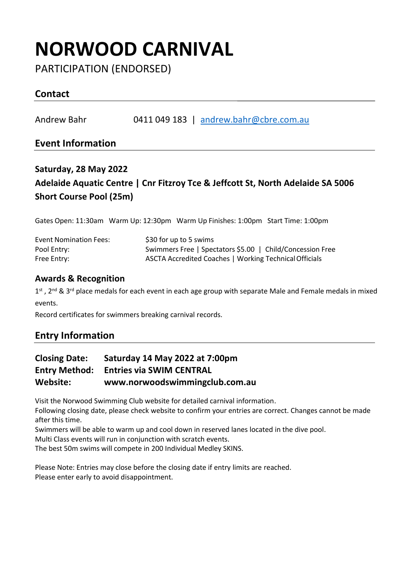# **NORWOOD CARNIVAL**

PARTICIPATION (ENDORSED)

## **Contact**

Andrew Bahr 0411 049 183 | [andrew.bahr@cbre.com.au](mailto:andrew.bahr@cbre.com.au)

### **Event Information**

## **Saturday, 28 May 2022 Adelaide Aquatic Centre | Cnr Fitzroy Tce & Jeffcott St, North Adelaide SA 5006 Short Course Pool (25m)**

Gates Open: 11:30am Warm Up: 12:30pm Warm Up Finishes: 1:00pm Start Time: 1:00pm

| <b>Event Nomination Fees:</b> | \$30 for up to 5 swims                                    |
|-------------------------------|-----------------------------------------------------------|
| Pool Entry:                   | Swimmers Free   Spectators \$5.00   Child/Concession Free |
| Free Entry:                   | ASCTA Accredited Coaches   Working Technical Officials    |

#### **Awards & Recognition**

1<sup>st</sup> , 2<sup>nd</sup> & 3<sup>rd</sup> place medals for each event in each age group with separate Male and Female medals in mixed events.

Record certificates for swimmers breaking carnival records.

## **Entry Information**

### **Closing Date: Saturday 14 May 2022 at 7:00pm Entry Method: Entries via SWIM CENTRAL Website: www.norwoodswimmingclub.com.au**

Visit the Norwood Swimming Club website for detailed carnival information.

Following closing date, please check website to confirm your entries are correct. Changes cannot be made after this time.

Swimmers will be able to warm up and cool down in reserved lanes located in the dive pool.

Multi Class events will run in conjunction with scratch events.

The best 50m swims will compete in 200 Individual Medley SKINS.

Please Note: Entries may close before the closing date if entry limits are reached. Please enter early to avoid disappointment.